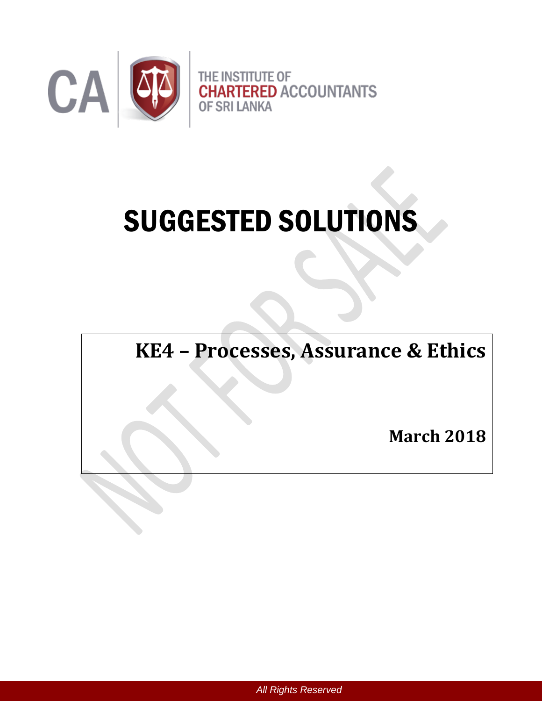

# SUGGESTED SOLUTIONS

**KE4 – Processes, Assurance & Ethics** 

**March 2018**

*All Rights Reserved*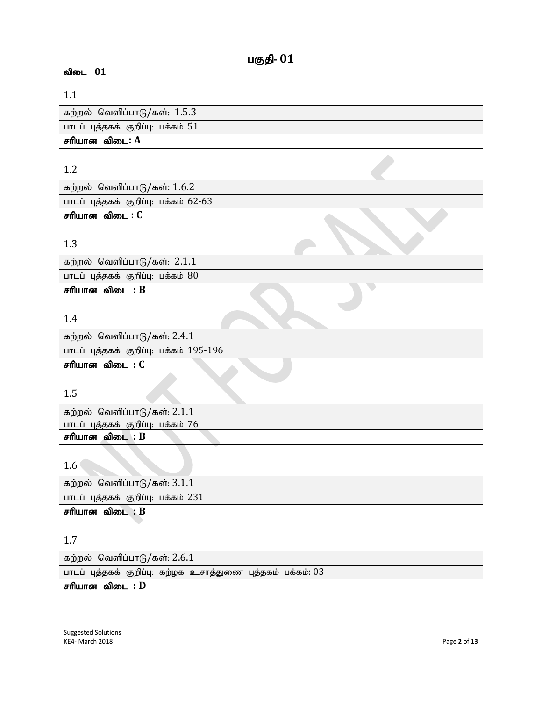# 1.1

| கற்றல் வெளிப்பாடு/கள்: 1.5.3       |
|------------------------------------|
| பாடப் புத்தகக் குறிப்பு: பக்கம் 51 |
| சரியான விடை: A                     |

# 1.2

| கற்றல் வெளிப்பாடு/கள்: $1.6.2$        |  |  |
|---------------------------------------|--|--|
| பாடப் புத்தகக் குறிப்பு: பக்கம் 62-63 |  |  |
| சரியான விடை : C                       |  |  |

# 1.3

| ்கற்றல் வெளிப்பாடு/கள்: 2.1.1        |  |
|--------------------------------------|--|
| பாடப் புத்தகக் குறிப்பு: பக்கம் $80$ |  |
| சரியான விடை : B                      |  |
|                                      |  |

# 1.4

| ' கற்றல்  வெளிப்பாடு/கள்: 2.4.1         |
|-----------------------------------------|
| பாடப் புத்தகக் குறிப்பு: பக்கம் 195-196 |
| சரியான விடை : C                         |

# 1.5

| கற்றல் வெளிப்பாடு/கள்: $2.1.1$     |
|------------------------------------|
| பாடப் புத்தகக் குறிப்பு: பக்கம் 76 |
| சரியான விடை : B                    |

# 1.6

| கற்றல் வெளிப்பாடு/கள்: $3.1.1$      |
|-------------------------------------|
| பாடப் புத்தகக் குறிப்பு: பக்கம் 231 |
| சரியான விடை : $B$                   |

# 1.7

| கற்றல்  வெளிப்பாடு/கள்: $2.6.1$                                |
|----------------------------------------------------------------|
| பாடப் புத்தகக் குறிப்பு: கற்ழக உசாத்துணை புத்தகம் பக்கம்: $03$ |
| சரியான விடை : D                                                |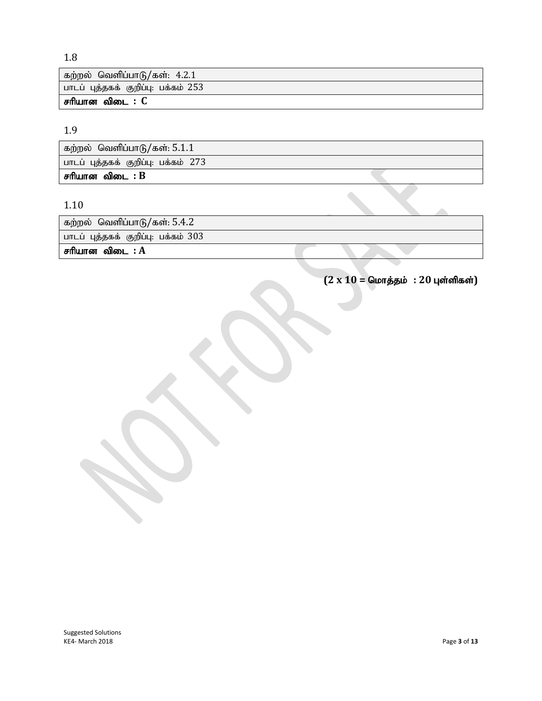# 1.8

| ்கற்றல் வெளிப்பாடு/கள்: 4.2.1         |
|---------------------------------------|
| ் பாடப் புத்தகக் குறிப்பு: பக்கம் 253 |
| சரியான விடை : C                       |

# 1.9

| கற்றல் வெளிப்பாடு/கள்: 5.1.1        |  |
|-------------------------------------|--|
| பாடப் புத்தகக் குறிப்பு: பக்கம் 273 |  |
| சரியான விடை : B                     |  |

# 1.10

| ் கற்றல்  வெளிப்பாடு/கள்: 5.4.2       |  |  |
|---------------------------------------|--|--|
| பாடப் புத்தகக் குறிப்பு: பக்கம் $303$ |  |  |
| சரியான விடை : $\bf A$                 |  |  |

 $(2 \times 10 = 6$ மாத்தம் : 20 புள்ளிகள்)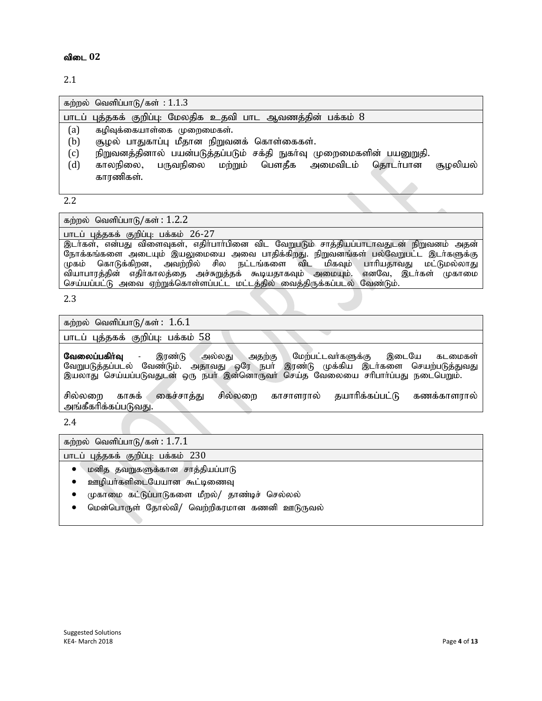2.1

| கற்றல் வெளிப்பாடு/கள்: $1.1.3$                                                                                                                                                                                                                             |
|------------------------------------------------------------------------------------------------------------------------------------------------------------------------------------------------------------------------------------------------------------|
| பாடப் புத்தகக் குறிப்பு: மேலதிக உதவி பாட ஆவணத்தின் பக்கம் $8$                                                                                                                                                                                              |
| (a)<br>கழிவுக்கையாள்கை முறைமைகள்.<br>(b)<br>சூழல் பாதுகாப்பு மீதான நிறுவனக் கொள்கைகள்.<br>நிறுவனத்தினால் பயன்படுத்தப்படும் சக்தி நுகர்வு முறைமைகளின் பயனுறுதி.<br>(c)<br>(d)<br>காலநிலை, பருவநிலை மற்றும் பௌதீக அமைவிடம் தொடர்பான<br>சூமலியல்<br>காரணிகள். |
|                                                                                                                                                                                                                                                            |

2.2

கற்றல் வெளிப்பாடு/கள்:  $1.2.2$ 

பாடப் புத்தகக் குறிப்பு: பக்கம் 26-27

.<br>இடர்கள், என்பது விளைவுகள், எதிர்பார்பினை விட வேறுபடும் சாத்தியப்பாடாவதுடன் நிறுவனம் அதன் நோக்கங்களை அடையும் இயலுமையை அவை பாதிக்கிறது. நிறுவனங்கள் பல்வேறுபட்ட இடர்களுக்கு<br>முகம் கொடுக்கிறன, அவற்றில் சில நட்டங்களை விட மிகவும் பாரியதாவது மட்டுமல்லாது மிகவும் பாரியதாவது மட்டுமல்லாது<br>மையும். எனவே, இடர்கள் முகாமை .<br>வியாபாரத்தின் எதிர்காலத்தை அச்சுறுத்தக் கூடியதாகவும் அமையும். செய்யப்பட்டு அவை ஏற்றுக்கொள்ளப்பட்ட மட்டத்தில் வைத்திருக்கப்படல் வேண்டும்.

#### 2.3

கற்றல் வெளிப்பாடு/கள்:  $1.6.1$ 

பாடப் புத்தகக் குறிப்பு: பக்கம் 58

வேலைப்பகிர்வு - இரண்டு அல்லது அதற்கு மேற்பட்டவர்களுக்கு இடையே கடமைகள் வேறுபடுத்தப்படல் வேண்டும். அதாவது ஒரே நபா் இரண்டு முக்கிய இடா்களை செயற்படுத்துவது இயலாது செய்யப்படுவதுடன் ஒரு நபர் இன்னொருவர் செய்த வேலையை சரிபார்ப்பது நடைபெறும்.

சில்லறை காசுக் கைச்சாத்து சில்லறை காசாளரால் தயாரிக்கப்பட்டு கணக்காளரால் அங்கீகரிக்கப்படுவது.

2.4

கற்றல் வெளிப்பாடு/கள்:  $1.7.1$ 

பாடப் புத்தகக் குறிப்பு: பக்கம் 230

- $\bullet$  மனித தவறுகளுக்கான சாத்தியப்பாடு
- ஊழியா்களிடையேயான கூட்டிணைவு
- முகாமை கட்டுப்பாடுகளை மீறல்/ தாண்டிச் செல்லல்
- மென்பொருள் தோல்வி/ வெற்றிகரமான கணனி ஊடுருவல்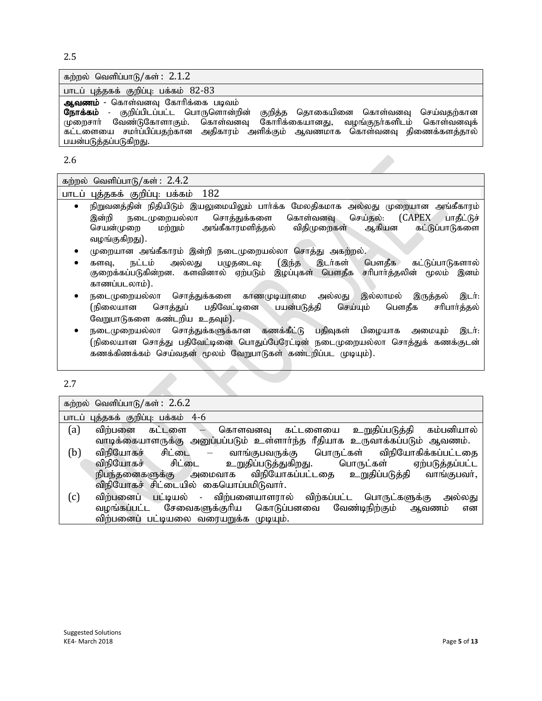2.5

| கற்றல் வெளிப்பாடு/கள்: $2.1.2$                                                                                                                                                                                                                                                                                 |
|----------------------------------------------------------------------------------------------------------------------------------------------------------------------------------------------------------------------------------------------------------------------------------------------------------------|
| பாடப் புத்தகக் குறிப்பு: பக்கம் 82-83                                                                                                                                                                                                                                                                          |
| ஆவணம் - கொள்வனவு கோரிக்கை படிவம்<br><b>நோக்கம்</b> - குறிப்பிடப்பட்ட பொருளொன்றின் குறித்த தொகையினை கொள்வனவு செய்வதற்கான<br>முறைசாா் வேண்டுகோளாகும். கொள்வனவு கோரிக்கையானது, வழங்குநா்களிடம் கொள்வனவுக்<br>கட்டளையை சமாப்பிப்பதற்கான அதிகாரம் அளிக்கும் ஆவணமாக கொள்வனவு திணைக்களத்தால்<br>பயன்படுத்தப்படுகிறது. |

2.6

| கற்றல் வெளிப்பாடு/கள் $:~2.4.2\%$ |  |
|-----------------------------------|--|
|                                   |  |

| பாடப் புத்தகக் குறிப்பு: பக்கம் 182 |  |  |
|-------------------------------------|--|--|
|                                     |  |  |

- நிறுவனத்தின் நிதியிடும் இயலுமையிலும் பாா்க்க மேலதிகமாக அல்லது முறையான அங்கீகாரம் இன்றி நடைமுறையல்லா சொத்துக்களை கொள்வனவு செய்தல்: (CAPEX பாதீட்டுச்<br>செயன்முறை மற்றும் அங்கீகாரமளித்தல் விதிமுறைகள் ஆகியன கட்டுப்பாடுகளை அங்கீகாரமளித்தல் வழங்குகிறது).
- முறையான அங்கீகாரம் இன்றி நடைமுறையல்லா சொத்து அகற்றல்.
- களவு, நட்டம் அல்லது பழுதடைவு: (இந்த இடர்கள் பௌதீக கட்டுப்பாடுகளால்<br>குறைக்கப்படுகின்றன. களவினால் ஏற்படும் இழப்புகள் பௌதீக சரிபார்த்தலின் மூலம் இனம் குறைக்கப்படுகின்றன. களவினால் ஏற்படும் இழப்புகள் பௌதீக காணப்படலாம்).
- நடைமுறையல்லா சொத்துக்களை காணமுடியாமை அல்லது இல்லாமல் இருத்தல் இடர்: (நிலையான சொத்துப் பதிவேட்டினை பயன்படுத்தி செய்யும் பௌதீக சரிபார்த்தல் வேறுபாடுகளை கண்டறிய உதவும்).
- நடைமுறையல்லா சொத்துக்களுக்கான கணக்கீட்டு பதிவுகள் பிழையாக அமையும் இடர். (நிலையான சொத்து பதிவேட்டினை பொதுப்பேரேட்டின் நடைமுறையல்லா சொத்துக் கணக்குடன் கணக்கிணக்கம் செய்வதன் மூலம் வேறுபாடுகள் கண்டறிப்பட முடியும்).

2.7

கற்றல் வெளிப்பாடு/கள்:  $2.6.2$ 

பாடப் புத்தகக் குறிப்பு: பக்கம் 4-6

- $\int$  (a) விற்பனை கட்டளை கொளவனவு கட்டளையை உறுதிப்படுத்தி கம்பனியால் வாடிக்கையாளருக்கு அனுப்பப்படும் உள்ளாா்ந்த ரீதியாக உருவாக்கப்படும் ஆவணம்.
- (b) விநியோகச் சிட்டை வாங்குபவருக்கு பொருட்கள் விநியோகிக்கப்பட்டதை<br>- விநியோகச் சிட்டை உறுதிப்படுத்துகிறது. பொருட்கள் ஏற்படுத்தப்பட்ட விநியோகச் சிட்டை உறுதிப்படுத்துகிறது. பொருட்கள் ஏற்படுத்தப்பட்ட<br>நிபந்தனைகளுக்கு அமைவாக விநியோகப்பட்டதை உறுதிப்படுத்தி வாங்குபவர், விநியோகப்பட்டதை உறுதிப்படுத்தி விநியோகச் சிட்டையில் கையொப்பமிடுவார்.
- (c) விற்பனைப் பட்டியல் விற்பனையாளரால் விற்கப்பட்ட பொருட்களுக்கு அல்லது<br>வழங்கப்பட்ட சேவைகளுக்குரிய கொடுப்பனவை வேண்டிநிற்கும் ஆவணம் என சேவைகளுக்குரிய கொடுப்பனவை வேண்டிநிற்கும் ஆவணம் என விற்பனைப் பட்டியலை வரையறுக்க முடியும்.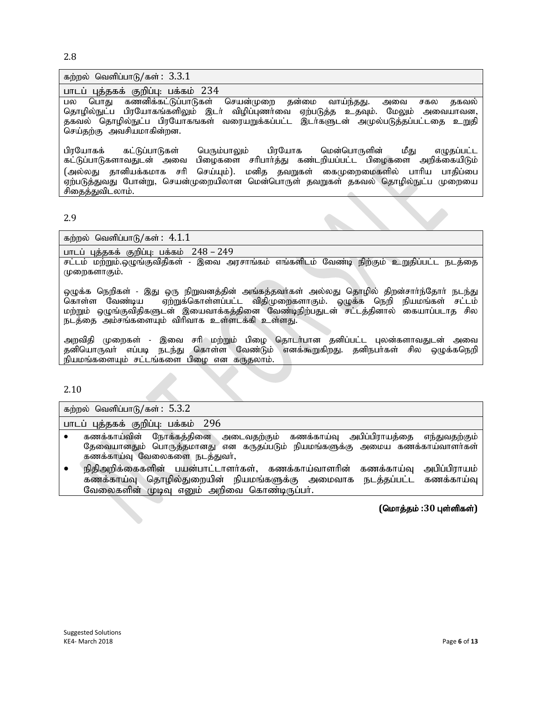2.8

| கற்றல் வெளிப்பாடு/கள்: $3.3.1$                                                                                                                                                                                                                                                                                                                                   |
|------------------------------------------------------------------------------------------------------------------------------------------------------------------------------------------------------------------------------------------------------------------------------------------------------------------------------------------------------------------|
| பாடப் புத்தகக் குறிப்பு: பக்கம் 234                                                                                                                                                                                                                                                                                                                              |
| வாய்ந்தது.<br>பல பொது கணனிக்கட்டுப்பாடுகள் செயன்முறை தன்மை<br>தகவல்<br>அவை<br>சகல<br>தொழில்நுட்ப பிரயோகங்களிலும் இடா் விழிப்புணா்வை ஏற்படுத்த உதவும். மேலும் அவையாவன,<br>தகவல் தொழில்நுட்ப பிரயோகஙகள் வரையறுக்கப்பட்ட இடா்களுடன் அமுல்படுத்தப்பட்டதை உறுதி<br>செய்தற்கு அவசியமாகின்றன.                                                                           |
| பிரயோகக் கட்டுப்பாடுகள் பெரும்பாலும் பிரயோக மென்பொருளின்<br>மீகு<br>எழுதப்பட்ட<br>பிழைகளை சரிபார்த்து கண்டறியப்பட்ட பிழைகளை அறிக்கையிடும்<br>கட்டுப்பாடுகளாவதுடன் அவை<br>செய்யும்). மனித தவறுகள் கைமுறைமைகளில் பாரிய பாதிப்பை<br>(அல்லது தானியக்கமாக சரி<br>ஏற்படுத்துவது போன்று, செயன்முறையிலான மென்பொருள் தவறுகள் தகவல் தொழில்நுட்ப முறையை<br>சிதைத்துவிடலாம். |

2.9

கற்றல் வெளிப்பாடு/கள்:  $4.1.1$ 

பாடப் புத்தகக் குறிப்பு: பக்கம் 248 – 249

சட்டம் மற்றும்.ஒழுங்குவிதிகள் - இவை அரசாங்கம் எங்களிடம் வேண்டி நிற்கும் உறுதிப்பட்ட நடத்தை முறைகளாகும்.

ஒழுக்க நெறிகள் - இது ஒரு நிறுவனத்தின் அங்கத்தவா்கள் அல்லது தொழில் திறன்சாா்ந்தோா் நடந்து<br>கொள்ள வேண்டிய – ஏற்றுக்கொள்ளப்பட்ட விதிமுறைகளாகும். ஒழுக்க நெறி நியமங்கள் சட்டம் ஏற்றுக்கொள்ளப்பட்ட விதிமுறைகளாகும். ஒழுக்க நெறி நியமங்கள் சட்டம் மற்றும் ஒழுங்குவிதிகளுடன் இயைவாக்கத்தினை வேண்டிநிற்பதுடன் சட்டத்தினால் கையாப்படாத சில நடத்தை அம்சங்களையும் விரிவாக உள்ளடக்கி உள்ளது.

அறவிதி முறைகள் - இவை சரி மற்றும் பிழை தொடர்பான தனிப்பட்ட புலன்களாவதுடன் அவை தனியொருவா் எப்படி நடந்து கொள்ள வேண்டும் எனக்கூறுகிறது. தனிநபாகள் சில ஒழுக்கநெறி .<br>நியமங்களையும் சட்டங்களை பிழை என கருதலாம்.

2.10

கற்றல் வெளிப்பாடு/கள்:  $5.3.2$ 

பாடப் புத்தகக் குறிப்பு: பக்கம் 296

- $\bullet$  கணக்காய்வின் நோக்கத்தினை அடைவதற்கும் கணக்காய்வு அபிப்பிராயத்தை எந்துவதற்கும் தேவையானதும் பொருத்தமானது என கருதப்படும் நியமங்களுக்கு அமைய கணக்காய்வாளர்கள் கணக்காய்வு வேலைகளை நடத்துவர்,
- $\bullet$  நிதிஅறிக்கைகளின் பயன்பாட்டாளர்கள், கணக்காய்வாளரின் கணக்காய்வு அபிப்பிராயம் கணக்காய்வு தொழில்துறையின் நியமங்களுக்கு அமைவாக நடத்தப்பட்ட கணக்காய்வு வேலைகளின் முடிவு எனும் அறிவை கொண்டிருப்பர்.

 $($ மொத்தம் :30 புள்ளிகள்)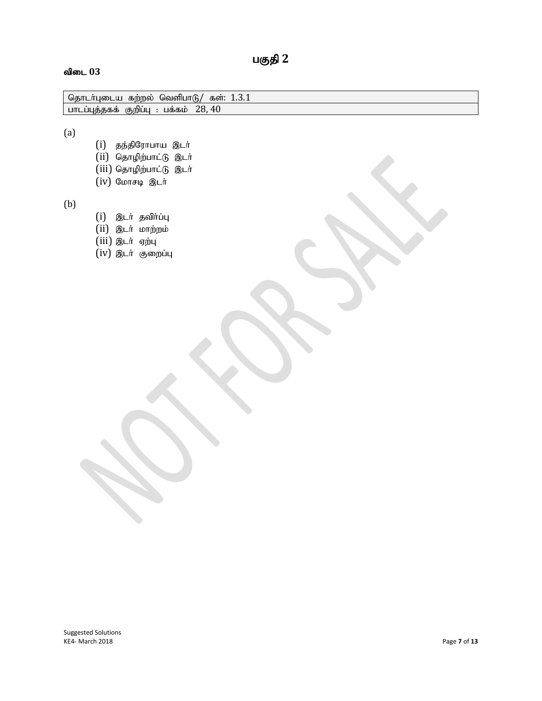# பகுதி 2

#### $\mathbf{d}$ ிடை  $03$

| தொடர்புடைய<br>கற்றல<br>வெள்பா          | கள:        |
|----------------------------------------|------------|
| பாடப்புத்தகக்<br>பக்கம்<br>$(H, \cap)$ | $\Delta$ 0 |
|                                        |            |

(a)

- $(i)$  தந்திரோபாய இடர்  $(ii)$  தொழிற்பாட்டு இடர்  $(iii)$  தொழிற்பாட்டு இடர்
- $(iv)$  மோசடி இடர்

(b)

 $(i)$  இடர் தவிர்ப்பு  $(ii)$  இடர் மாற்றம் (iii) இடர் ஏற்பு

 $(iv)$  இடர் குறைப்பு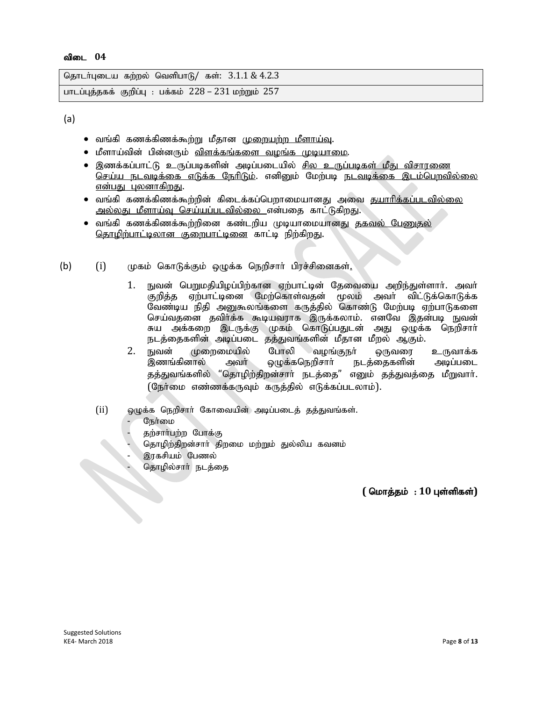```
தொடர்புடைய கற்றல் வெளிபாடு/ கள்: 3.1.1 \& 4.2.3பாடப்புத்தகக் குறிப்பு: பக்கம் 228 - 231 மற்றும் 257
```
(a)

- வங்கி கணக்கிணக்கூற்று மீதான <u>முறையற்ற மீளாய்வு</u>.
- மீளாய்வின் பின்னரும் <u>விளக்கங்களை வமங்க முடியாமை</u>.
- இணக்கப்பாட்டு உருப்படிகளின் அடிப்படையில் <u>சில உருப்படிகள் மீது விசாரணை</u> <u>செய்ய நடவடிக்கை எடுக்க நேரிடும்</u>. எனினும் மேற்படி நடவடிக்கை இடம்பெறவில்லை <u>என்பது புலனாகிறது</u>.
- வங்கி கணக்கிணக்கூற்றின் கிடைக்கப்பெறாமையானது அவை <u>தயாரிக்கப்படவில்லை</u> <u>அல்லது மீளாய்வு செய்யப்படவில்லை என்</u>பதை காட்டுகிறது.
- வங்கி கணக்கிணக்கூற்றினை கண்டறிய முடியாமையானது <u>தகவல் பேணுகல்</u> <u>தொழிற்பாட்டிலான குறைபாட்டினை</u> காட்டி நிற்கிறது.
- (b)  $(i)$  (முகம் கொடுக்கும் ஒழுக்க நெறிசாா் பிரச்சினைகள்<u>.</u>
	- 1. நுவன் பெறுமதியிழப்பிற்கான ஏற்பாட்டின் தேவையை அறிந்துள்ளாா். அவா் குறித்த ஏற்பாட்டினை மேற்கொள்வதன் மூலம் அவர் விட்டுக்கொடுக்க வேண்டிய நிதி அனுகூலங்களை கருத்தில் கொண்டு மேற்படி ஏற்பாடுகளை செய்வதனை தவிர்க்க கூடியவராக இருக்கலாம். எனவே இதன்படி நுவன் சுய அக்கறை இடருக்கு முகம் கொடுப்பதுடன் அது ஒழுக்க நெறிசாா் நடத்தைகளின் அடிப்படை தத்துவங்களின் மீதான மீறல் ஆகும்.
	- 2. நுவன் முறைமையில் போலி வழங்குநா் ஒருவரை உருவாக்க<br>இணங்கினால் அவா் மெக்கநெரிசாா் நடக்கைகளின் அடிப்படை அவா் ஒழுக்கநெறிசாா் நடத்தைகளின் அடிப்படை தத்துவங்களில் "தொழிற்திறன்சாா் நடத்தை" எனும் தத்துவத்தை மீறுவாா். (நேர்மை எண்ணக்கருவும் கருத்தில் எடுக்கப்படலாம்).
	- (ii) ஒழுக்க நெறிசார் கோவையின் அடிப்படைத் தத்துவங்கள்.
		- நேர்மை
		- தற்சார்பற்ற போக்கு
		- தொழிற்திறன்சார் திறமை மற்றும் துல்லிய கவனம்
		-
	- இரகசியம் பேணல்<br>- தொழில்சாா் நடத்<br>- தொழில்சாா் நடத் - தொழில்சார் நடத்தை<br>- பார்ப்பிரி<br>- பார்ப்பிரி மார்ப்பிரி மார்ப்பிரி மார்ப்பிரி மார்ப்பிரி மார்ப்பிரி மார்ப்பிரி மார்ப்பிரி மார்ப்பிரி மார்ப்பிர<br>- பார்ப்பிரி மார்ப்பிரி மார்ப்பிரி மார்ப்பிரி மார்ப்பிரி மார்ப்பிரி மார்ப்பிர

 $($  மொத்தம் : 10 புள்ளிகள்)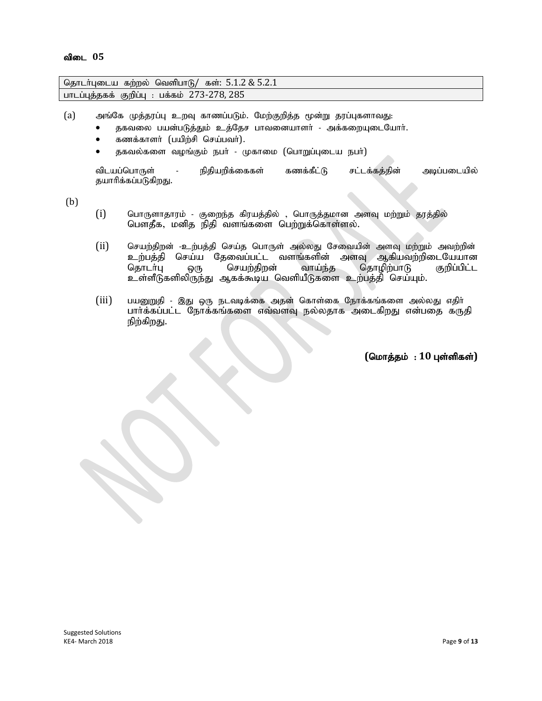| தொடர்புடைய கற்றல் வெளிபாடு/ கள்: $5.1.2 \& 5.2.1$ |  |
|---------------------------------------------------|--|
| பாடப்புத்தகக் குறிப்பு : பக்கம் 273-278, 285      |  |

(a) அங்கே முத்தரப்பு உறவு காணப்படும். மேற்குறித்த மூன்று தரப்புகளாவது:

- தகவலை பயன்படுத்தும் உத்தேச பாவனையாளர் அக்கறையுடையோர்.
- கணக்காளா் (பயிற்சி செய்பவா்).
- தகவல்களை வழங்கும் நபர் முகாமை (பொறுப்புடைய நபர்)

விடயப்பொருள் - நிதியறிக்கைகள் கணக்கீட்டு சட்டக்கத்தின் அடிப்படையில் தயாரிக்கப்படுகிறது.

(b)

- $(i)$  பொருளாதாரம் குறைந்த கிரயத்தில் , பொருத்தமான அளவு மற்றும் தரத்தில் பௌதீக, மனித நிதி வளங்களை பெற்றுக்கொள்ளல்.
- (ii) செயற்திறன் -உற்பத்தி செய்த பொருள் அல்லது சேவையின் அளவு மற்றும் அவற்றின் உற்பத்தி செய்ய தேவைப்பட்ட வளங்களின் அளவு ஆகியவற்றிடையேயான<br>தொடர்பு ஒரு செயற்திறன் வாய்ந்த தொழிற்பாடு குறிப்பிட்ட ஒரு செயற்திறன் வாய்ந்த தொழிற்பாடு உள்ளீடுகளிலிருந்து ஆகக்கூடிய வெளியீடுகளை உற்பத்தி செய்யும்.
- $(iii)$  பயனுறுதி இது ஒரு நடவடிக்கை அதன் கொள்கை நோக்கங்களை அல்லது எதிா் பார்க்கப்பட்ட நோக்கங்களை எவ்வளவு நல்லதாக அடைகிறது என்பதை கருதி நிற்கிறது.

 $($ மொத்தம் : 10 புள்ளிகள்)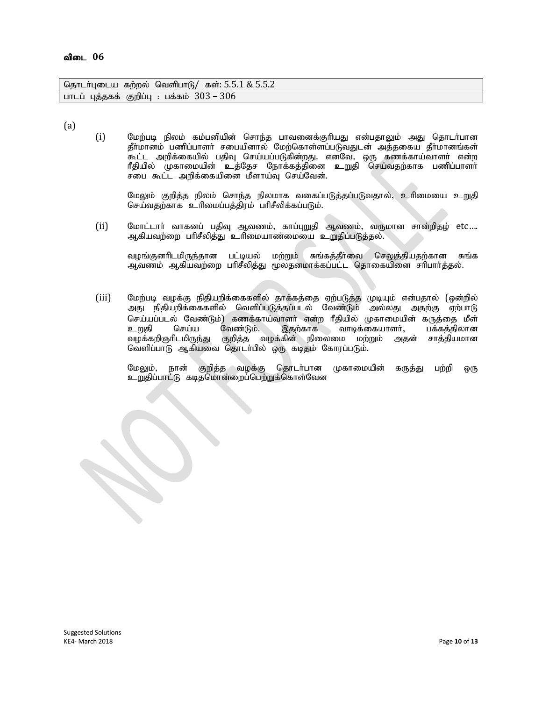| தொடா்புடைய கற்றல் வெளிபாடு/ கள்: 5.5.1 & 5.5.2  |  |
|-------------------------------------------------|--|
| ்பாடப் புத்தகக் குறிப்பு : பக்கம் $303$ – $306$ |  |

(a)

(i) Nkw;gb epyk; fk ;gdpapd; nrhe;j ghtidf;FhpaJ vd;gjhYk; mJ njhlh;ghd தீர்மானம் பணிப்பாளர் சபையினால் மேற்கொள்ளப்படுவதுடன் அத்தகைய தீர்மானங்கள் .<br>கூட்ட அறிக்கையில் பதிவு செய்யப்படுகின்றது. எனவே, ஒரு கணக்காய்வாளா் என்ற ரீதியில் முகாமையின் உத்தேச நோக்கத்தினை உறுதி செய்வதற்காக பணிப்பாளர் சபை கூட்ட அறிக்கையினை மீளாய்வு செய்வேன்.

மேலும் குறித்த நிலம் சொந்த நிலமாக வகைப்படுத்தப்படுவதால், உரிமையை உறுதி செய்வதற்காக உரிமைப்பத்திரம் பரிசீலிக்கப்படும்.

(ii) மோட்டாா் வாகனப் பதிவு ஆவணம், காப்புறுதி ஆவணம், வருமான சான்றிதழ் etc…. ஆகியவற்றை பரிசீலித்து உரிமையாண்மையை உறுதிப்படுத்தல்.

வழங்குனரிடமிருந்தான பட்டியல் மற்றும் சுங்கத்தீர்வை செலுத்தியதற்கான சுங்க ஆவணம் ஆகியவற்றை பரிசீலித்து மூலதனமாக்கப்பட்ட தொகையினை சரிபார்த்தல்.

(iii) மேற்படி வழக்கு நிதியறிக்கைகளில் தாக்கத்தை ஏற்படுத்த முடியும் என்பதால் (ஒன்றில் அது நிதியறிக்கைகளில் வெளிப்படுத்தப்படல் வேண்டும் அல்லது அதற்கு ஏற்பாடு செய்யப்படல் வேண்டும்) கணக்காய்வாளர் என்ற ரீதியில் முகாமையின் கருத்தை மீள்<br>உறுதி செய்ய வேண்டும். இதற்காக வாடிக்கையாளர், பக்கத்திலான உறுதி செய்ய வேண்டும். இதற்காக வாடிக்கையாளர்,<br>வழக்கறிஞரிடமிருந்து குறித்த வழக்கின் நிலைமை மற்றும் அத குறித்த வழக்கின் நிலைமை மற்றும் அதன் சாத்தியமான வெளிப்பாடு ஆகியவை தொடா்பில் ஒரு கடிதம் கோரப்படும்.

மேலும், நான் குறித்த வழக்கு தொடர்பான முகாமையின் கருத்து பற்றி ஒரு உறுதிப்பாட்டு கடிதமொன்றைப்பெற்றுக்கொள்வேன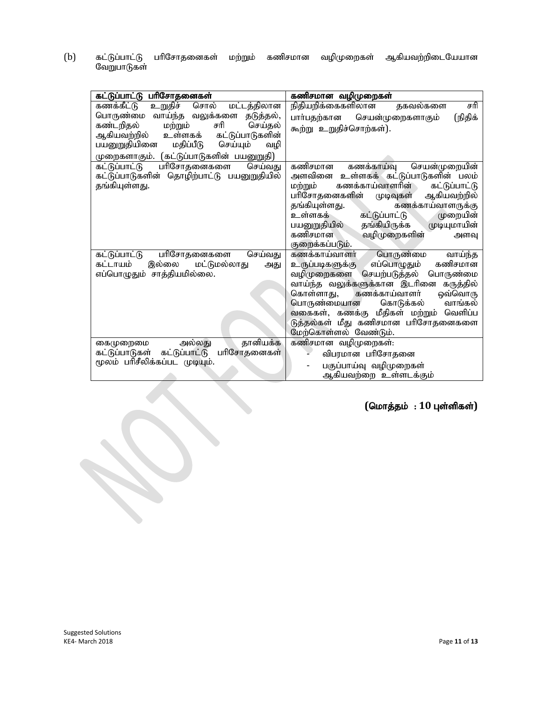(b) கட்டுப்பாட்டு பரிசோதனைகள் மற்றும் கணிசமான வழிமுறைகள் ஆகியவற்றிடையேயான கட்டுப்பாட்டு<br>வேறுபாடுகள்

| கட்டுப்பாட்டு பரிசோதனைகள்                    | கணிசமான வழிமுறைகள்                               |  |
|----------------------------------------------|--------------------------------------------------|--|
| கணக்கீட்டு<br>உறுதிச் சொல்<br>மட்டத்திலான    | தகவல்களை<br>நிதியறிக்கைகளிலான<br>சரி             |  |
| பொருண்மை வாய்ந்த வலுக்களை தடுத்தல்,          | பார்பதற்கான செயன்முறைகளாகும்<br>(நிதிக்          |  |
| கண்டறிதல்<br>சரி<br>செய்தல்<br>மற்றும்       | கூற்று உறுதிச்சொற்கள்).                          |  |
| ஆகியவற்றில்<br>உள்ளகக்<br>கட்டுப்பாடுகளின்   |                                                  |  |
| பயனுறுதியினை<br>மதிப்பீடு<br>செய்யும்<br>வழி |                                                  |  |
| முறைகளாகும். (கட்டுப்பாடுகளின் பயனுறுதி)     |                                                  |  |
| கட்டுப்பாட்டு<br>பரிசோதனைகளை<br>செய்வது      | கணிசமான<br>செயன்முறையின்<br>கணக்காய்வு           |  |
| கட்டுப்பாடுகளின் தொழிற்பாட்டு பயனுறுதியில்   | அளவினை உள்ளகக் கட்டுப்பாடுகளின் பலம்             |  |
| தங்கியுள்ளது.                                | கணக்காய்வாளரின்<br>கட்டுப்பாட்டு<br>மற்றும்      |  |
|                                              | பரிசோதனைகளின் முடிவுகள்<br>ஆகியவற்றில்           |  |
|                                              | தங்கியுள்ளது.<br>கணக்காய்வாளருக்கு               |  |
|                                              | கட்டுப்பாட்டு<br>உள்ளகக்<br>முறையின்             |  |
|                                              | முடியுமாயின்<br>தங்கியிருக்க<br>பயனுறுதியில்     |  |
|                                              | வழிமுறைகளின்<br>கணிசமான<br>அளவு                  |  |
|                                              | குறைக்கப்படும்.                                  |  |
| செய்வது<br>கட்டுப்பாட்டு<br>பரிசோதனைகளை      | பொருண்மை<br>கணக்காய்வாளர்<br>வாய்ந்த             |  |
| கட்டாயம்<br>இல்லை மட்டுமல்லாது<br>அது        | கணிசமான<br>எப்பொழுதும்<br><u>உருப்படிகளுக்கு</u> |  |
| எப்பொழுதும் சாத்தியமில்லை.                   | வழிமுறைகளை செயற்படுத்தல் பொருண்மை                |  |
|                                              | வாய்ந்த வலுக்களுக்கான இடரினை கருத்தில்           |  |
|                                              | கணக்காய்வாளர்<br>ஒவ்வொரு<br>கொள்ளாது,            |  |
|                                              | வாங்கல்<br>பொருண்மையான<br>கொடுக்கல்              |  |
|                                              | வகைகள், கணக்கு மீதிகள் மற்றும் வெளிப்ப           |  |
|                                              | டுத்தல்கள் மீது கணிசமான பரிசோதனைகளை              |  |
|                                              | மேற்கொள்ளல் வேண்டும்.                            |  |
| தானியக்க<br>அல்லது<br>கைமுறைமை               | கணிசமான வழிமுறைகள்:                              |  |
| கட்டுப்பாடுகள் கட்டுப்பாட்டு<br>பரிசோதனைகள்  | விபரமான பரிசோதனை                                 |  |
| மூலம் பரிசீலிக்கப்பட முடியும்.               | பகுப்பாய்வு வழிமுறைகள்                           |  |
|                                              | ஆகியவற்றை உள்ளடக்கும்                            |  |

 $($ மொத்தம் : 10 புள்ளிகள்)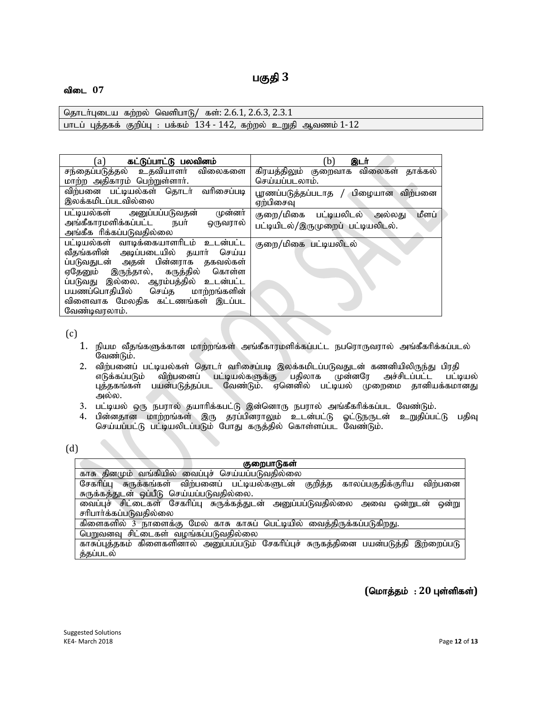# பகுதி 3

#### விடை 07

தொடர்புடைய கற்றல் வெளிபாடு/ கள்: 2.6.1, 2.6.3, 2.3.1 பாடப் புத்தகக் குறிப்பு : பக்கம் 134 - 142, கற்றல் உறுதி ஆவணம் 1-12

| a)                                                                                                                                                                                                                                                                                        | (b)                                                                        |  |
|-------------------------------------------------------------------------------------------------------------------------------------------------------------------------------------------------------------------------------------------------------------------------------------------|----------------------------------------------------------------------------|--|
| கட்டுப்பாட்டு பலவினம்                                                                                                                                                                                                                                                                     | இடர்                                                                       |  |
| சந்தைப்படுத்தல் உதவியாளர் விலைகளை                                                                                                                                                                                                                                                         | கிரயத்திலும் குறைவாக விலைகள் தாக்கல்                                       |  |
| மாற்ற அதிகாரம் பெற்றுள்ளாா்.                                                                                                                                                                                                                                                              | செய்யப்படலாம்.                                                             |  |
| விற்பனை பட்டியல்கள் தொடர் வரிசைப்படி                                                                                                                                                                                                                                                      | பூரணப்படுத்தப்படாத / பிழையான விற்பனை                                       |  |
| இலக்கமிடப்படவில்லை                                                                                                                                                                                                                                                                        | ஏற்பிசைவு                                                                  |  |
| பட்டியல்கள் அனுப்பப்படுவதன்<br>முன்னர்<br>அங்கீகாரமளிக்கப்பட்ட நபா்<br>ஒருவரால்<br>அங்கீக ரிக்கப்படுவதில்லை                                                                                                                                                                               | மீளப்<br>குறை/மிகை பட்டியலிடல் அல்லது<br>பட்டியிடல்/இருமுறைப் பட்டியலிடல். |  |
| பட்டியல்கள் வாடிக்கையாளரிடம் உடன்பட்ட<br>வீதங்களின் அடிப்படையில் தயார் செய்ய<br>ப்படுவதுடன் அதன் பின்னராக தகவல்கள்<br>ஏதேனும் இருந்தால், கருத்தில் கொள்ள<br>ப்படுவது இல்லை. ஆரம்பத்தில் உடன்பட்ட<br>பயணப்பொதியில் செய்த மாற்றங்களின்<br>விளைவாக மேலதிக கட்டணங்கள் இடப்பட<br>வேண்டிவரலாம். | குறை/மிகை பட்டியலிடல்                                                      |  |

 $(c)$ 

- 1. நியம வீதங்களுக்கான மாற்றங்கள் அங்கீகாரமளிக்கப்பட்ட நபரொருவரால் அங்கீகரிக்கப்படல் வேண்டும்.
- 2. விற்பனைப் பட்டியல்கள் தொடர் வரிசைப்படி இலக்கமிடப்படுவதுடன் கணனியிலிருந்து பிரதி<br>எடுக்கப்படும் விற்பனைப் பட்டியல்களுக்கு பதிலாக முன்னரே அச்சிடப்பட்ட பட்டி ்விற்பனைப் பட்டியல்களுக்கு பதிலாக முன்னரே அச்சிடப்பட்ட பட்டியல் புத்தகங்கள் பயன்படுத்தப்பட வேண்டும். ஏனெனில் பட்டியல் முறைமை தானியக்கமானது அல்ல.
- 3. பட்டியல் ஒரு நபரால் தயாரிக்கபட்டு இன்னொரு நபரால் அங்கீகரிக்கப்பட வேண்டும்.
- 4. பின்னதான மாற்றங்கள் இரு தரப்பினராலும் உடன்பட்டு ஓட்டுநருடன் உறுதிப்பட்டு பதிவு செய்யப்பட்டு பட்டியலிடப்படும் போது கருத்தில் கொள்ளப்பட வேண்டும்.

| ٠ | ×<br>. . |  |
|---|----------|--|
|   |          |  |

| குறைபாடுகள்                                                                             |  |  |
|-----------------------------------------------------------------------------------------|--|--|
| காசு தினமும் வங்கியில் வைப்புச் செய்யப்படுவதில்லை                                       |  |  |
| சேகரிப்பு சுருக்கங்கள் விற்பனைப் பட்டியல்களுடன் குறித்த<br>காலப்பகுதிக்குரிய<br>விற்பனை |  |  |
| சுருக்கத்துடன் ஒப்பீடு செய்யப்படுவதில்லை.                                               |  |  |
| வைப்புச் சிட்டைகள் சேகரிப்பு சுருக்கத்துடன் அனுப்பப்டுவதில்லை அவை<br>ணறு<br>ணறுடன       |  |  |
| சரிபார்க்கப்படுவதில்லை                                                                  |  |  |
| கிளைகளில் 3 நாளைக்கு மேல் காசு காசுப் பெட்டியில் வைத்திருக்கப்படுகிறது.                 |  |  |
| பெறுவனவு சிட்டைகள் வழங்கப்படுவதில்லை                                                    |  |  |
| காசுப்புத்தகம் கிளைகளினால் அனுப்பப்படும் சேகரிப்புச் சுருகத்தினை பயன்படுத்தி இற்றைப்படு |  |  |
| த்தப்படல்                                                                               |  |  |

### $($ மொத்தம் : 20 புள்ளிகள்)